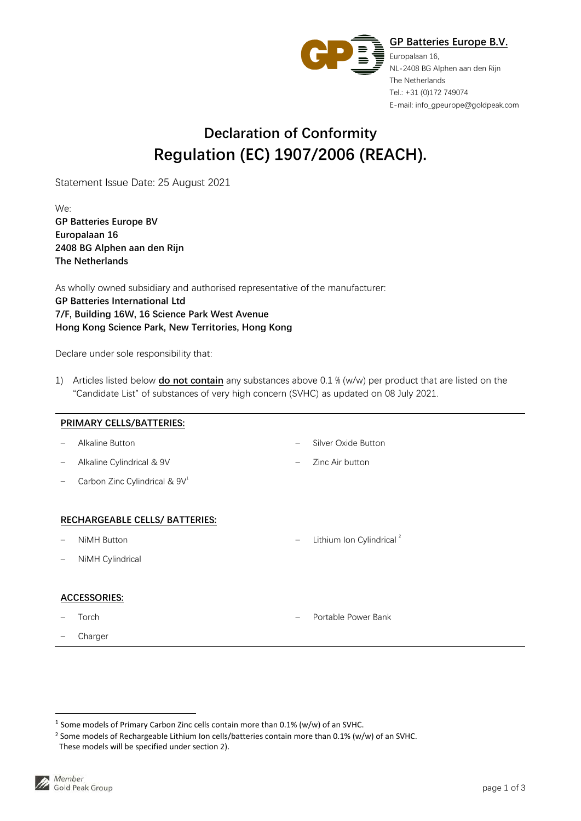

## **Declaration of Conformity Regulation (EC) 1907/2006 (REACH).**

Statement Issue Date: 25 August 2021

We: **GP Batteries Europe BV Europalaan 16 2408 BG Alphen aan den Rijn The Netherlands** 

As wholly owned subsidiary and authorised representative of the manufacturer: **GP Batteries International Ltd 7/F, Building 16W, 16 Science Park West Avenue Hong Kong Science Park, New Territories, Hong Kong** 

Declare under sole responsibility that:

1) Articles listed below **do not contain** any substances above 0.1 % (w/w) per product that are listed on the "Candidate List" of substances of very high concern (SVHC) as updated on 08 July 2021.

| PRIMARY CELLS/BATTERIES:       |                                           |                          |                                      |  |  |  |  |
|--------------------------------|-------------------------------------------|--------------------------|--------------------------------------|--|--|--|--|
|                                | Alkaline Button                           | —                        | Silver Oxide Button                  |  |  |  |  |
|                                | Alkaline Cylindrical & 9V                 | —                        | Zinc Air button                      |  |  |  |  |
|                                | Carbon Zinc Cylindrical & 9V <sup>1</sup> |                          |                                      |  |  |  |  |
|                                |                                           |                          |                                      |  |  |  |  |
| RECHARGEABLE CELLS/ BATTERIES: |                                           |                          |                                      |  |  |  |  |
|                                | <b>NiMH Button</b>                        | $\overline{\phantom{0}}$ | Lithium Ion Cylindrical <sup>2</sup> |  |  |  |  |
| $\qquad \qquad -$              | NiMH Cylindrical                          |                          |                                      |  |  |  |  |
|                                |                                           |                          |                                      |  |  |  |  |
| <b>ACCESSORIES:</b>            |                                           |                          |                                      |  |  |  |  |
|                                | Torch                                     | -                        | Portable Power Bank                  |  |  |  |  |
|                                | Charger                                   |                          |                                      |  |  |  |  |
|                                |                                           |                          |                                      |  |  |  |  |

<sup>&</sup>lt;sup>1</sup> Some models of Primary Carbon Zinc cells contain more than 0.1% (w/w) of an SVHC.

<sup>&</sup>lt;sup>2</sup> Some models of Rechargeable Lithium Ion cells/batteries contain more than 0.1% (w/w) of an SVHC.

These models will be specified under section 2).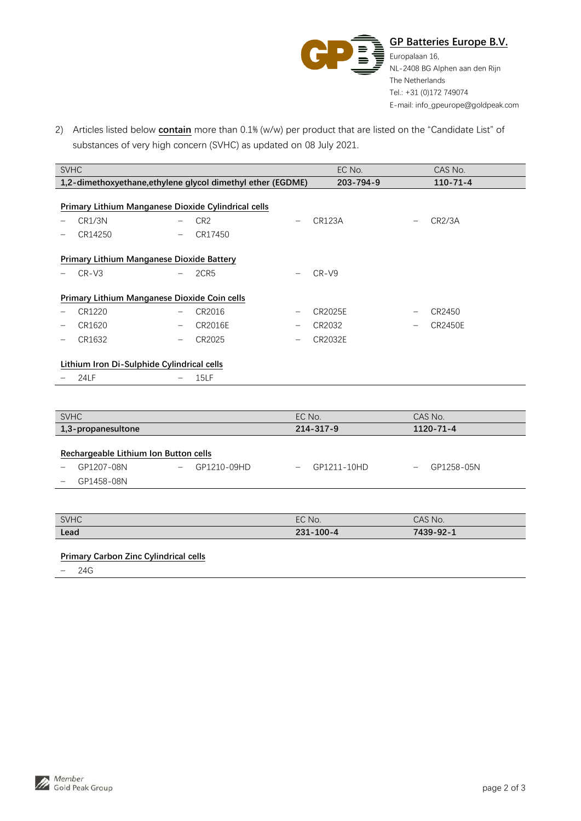

2) Articles listed below **contain** more than 0.1% (w/w) per product that are listed on the "Candidate List" of substances of very high concern (SVHC) as updated on 08 July 2021.

| <b>SVHC</b>                                                 |                 |                                     | EC No.    |  | CAS No.        |  |  |  |
|-------------------------------------------------------------|-----------------|-------------------------------------|-----------|--|----------------|--|--|--|
| 1,2-dimethoxyethane, ethylene glycol dimethyl ether (EGDME) |                 |                                     | 203-794-9 |  | $110 - 71 - 4$ |  |  |  |
|                                                             |                 |                                     |           |  |                |  |  |  |
| Primary Lithium Manganese Dioxide Cylindrical cells         |                 |                                     |           |  |                |  |  |  |
| CR1/3N                                                      | CR <sub>2</sub> | <b>CR123A</b><br>-                  |           |  | CR2/3A         |  |  |  |
| CR14250<br>$\qquad \qquad -$                                | CR17450         |                                     |           |  |                |  |  |  |
|                                                             |                 |                                     |           |  |                |  |  |  |
| <b>Primary Lithium Manganese Dioxide Battery</b>            |                 |                                     |           |  |                |  |  |  |
| $CR$ -V $3$                                                 | 2CR5            | $CR-V9$<br>$\qquad \qquad -$        |           |  |                |  |  |  |
|                                                             |                 |                                     |           |  |                |  |  |  |
| Primary Lithium Manganese Dioxide Coin cells                |                 |                                     |           |  |                |  |  |  |
| CR1220<br>$\qquad \qquad \blacksquare$                      | CR2016          | CR2025E<br>$\overline{\phantom{m}}$ |           |  | CR2450         |  |  |  |
| CR1620<br>$\overline{\phantom{m}}$                          | <b>CR2016E</b>  | CR2032<br>-                         |           |  | CR2450E        |  |  |  |
| CR1632<br>$\qquad \qquad -$                                 | CR2025          | CR2032E<br>-                        |           |  |                |  |  |  |
|                                                             |                 |                                     |           |  |                |  |  |  |
| Lithium Iron Di-Sulphide Cylindrical cells                  |                 |                                     |           |  |                |  |  |  |

− 24LF − 15LF

| <b>SVHC</b>                                                       |                                  | EC No.           | CAS No.                       |  |
|-------------------------------------------------------------------|----------------------------------|------------------|-------------------------------|--|
| 1,3-propanesultone                                                |                                  | 214-317-9        | 1120-71-4                     |  |
| Rechargeable Lithium Ion Button cells<br>GP1207-08N<br>GP1458-08N | GP1210-09HD<br>$\qquad \qquad -$ | GP1211-10HD<br>— | GP1258-05N<br>$\qquad \qquad$ |  |

| <b>SVHC</b> | EC No.            | CAS No.          |
|-------------|-------------------|------------------|
| Lead        | $100 - 4$<br>231- | 7439-92-<br>- 11 |

## **Primary Carbon Zinc Cylindrical cells**

− 24G